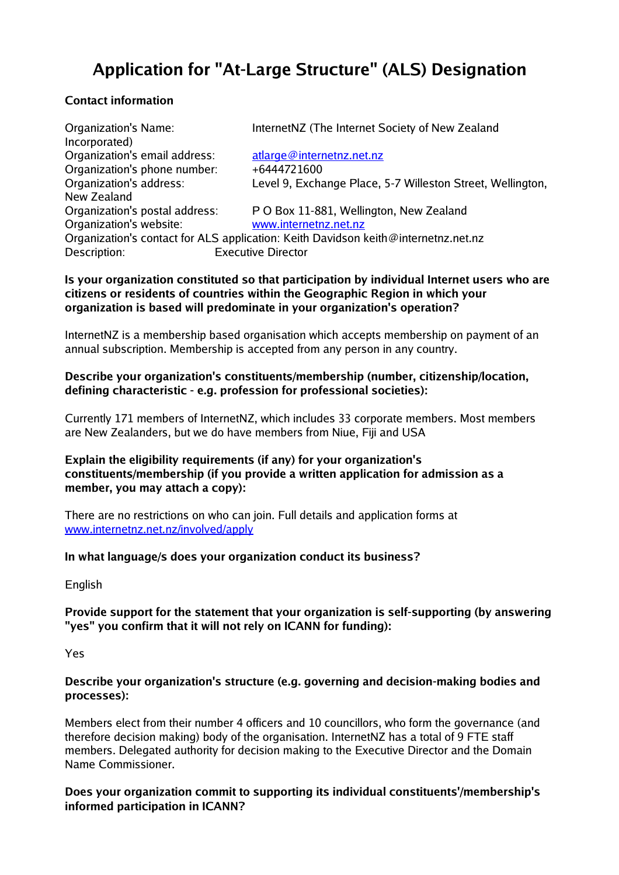# **Application for "At-Large Structure" (ALS) Designation**

# **Contact information**

Organization's Name: InternetNZ (The Internet Society of New Zealand Incorporated) Organization's email address: [atlarge@internetnz.net.nz](mailto:atlarge@internetnz.net.nz) Organization's phone number: +6444721600 Organization's address: Level 9, Exchange Place, 5-7 Willeston Street, Wellington, New Zealand Organization's postal address: P O Box 11-881, Wellington, New Zealand Organization's website: [www.internetnz.net.nz](http://www.internetnz.net.nz/) Organization's contact for ALS application: Keith Davidson keith@internetnz.net.nz Description: Executive Director

## **Is your organization constituted so that participation by individual Internet users who are citizens or residents of countries within the Geographic Region in which your organization is based will predominate in your organization's operation?**

InternetNZ is a membership based organisation which accepts membership on payment of an annual subscription. Membership is accepted from any person in any country.

## **Describe your organization's constituents/membership (number, citizenship/location, defining characteristic - e.g. profession for professional societies):**

Currently 171 members of InternetNZ, which includes 33 corporate members. Most members are New Zealanders, but we do have members from Niue, Fiji and USA

## **Explain the eligibility requirements (if any) for your organization's constituents/membership (if you provide a written application for admission as a member, you may attach a copy):**

There are no restrictions on who can join. Full details and application forms at [www.internetnz.net.nz/involved/apply](http://www.internetnz.net.nz/involved/apply)

## **In what language/s does your organization conduct its business?**

English

## **Provide support for the statement that your organization is self-supporting (by answering "yes" you confirm that it will not rely on ICANN for funding):**

Yes

## **Describe your organization's structure (e.g. governing and decision-making bodies and processes):**

Members elect from their number 4 officers and 10 councillors, who form the governance (and therefore decision making) body of the organisation. InternetNZ has a total of 9 FTE staff members. Delegated authority for decision making to the Executive Director and the Domain Name Commissioner.

**Does your organization commit to supporting its individual constituents'/membership's informed participation in ICANN?**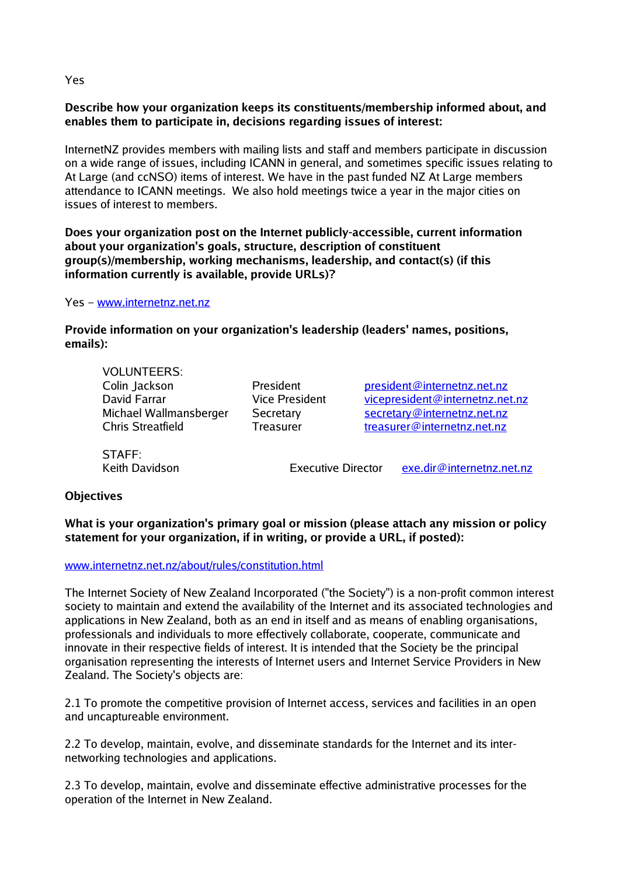#### Yes

## **Describe how your organization keeps its constituents/membership informed about, and enables them to participate in, decisions regarding issues of interest:**

InternetNZ provides members with mailing lists and staff and members participate in discussion on a wide range of issues, including ICANN in general, and sometimes specific issues relating to At Large (and ccNSO) items of interest. We have in the past funded NZ At Large members attendance to ICANN meetings. We also hold meetings twice a year in the major cities on issues of interest to members.

**Does your organization post on the Internet publicly-accessible, current information about your organization's goals, structure, description of constituent group(s)/membership, working mechanisms, leadership, and contact(s) (if this information currently is available, provide URLs)?**

Yes – [www.internetnz.net.nz](http://www.internetnz.net.nz/)

**Provide information on your organization's leadership (leaders' names, positions, emails):**

VOLUNTEERS:

Colin Jackson President [president@internetnz.net.nz](mailto:president@internetnz.net.nz) David Farrar The State President [vicepresident@internetnz.net.nz](mailto:vicepresident@internetnz.net.nz) Michael Wallmansberger Secretary Secretary@internetnz.net.nz Chris Streatfield Treasurer [treasurer@internetnz.net.nz](mailto:treasurer@internetnz.net.nz)

STAFF:

Keith Davidson **Executive Director** [exe.dir@internetnz.net.nz](mailto:exe.dir@internetnz.net.nz)

#### **Objectives**

**What is your organization's primary goal or mission (please attach any mission or policy statement for your organization, if in writing, or provide a URL, if posted):**

[www.internetnz.net.nz/about/rules/constitution.html](http://www.internetnz.net.nz/about/rules/constitution.html)

The Internet Society of New Zealand Incorporated ("the Society") is a non-profit common interest society to maintain and extend the availability of the Internet and its associated technologies and applications in New Zealand, both as an end in itself and as means of enabling organisations, professionals and individuals to more effectively collaborate, cooperate, communicate and innovate in their respective fields of interest. It is intended that the Society be the principal organisation representing the interests of Internet users and Internet Service Providers in New Zealand. The Society's objects are:

2.1 To promote the competitive provision of Internet access, services and facilities in an open and uncaptureable environment.

2.2 To develop, maintain, evolve, and disseminate standards for the Internet and its internetworking technologies and applications.

2.3 To develop, maintain, evolve and disseminate effective administrative processes for the operation of the Internet in New Zealand.